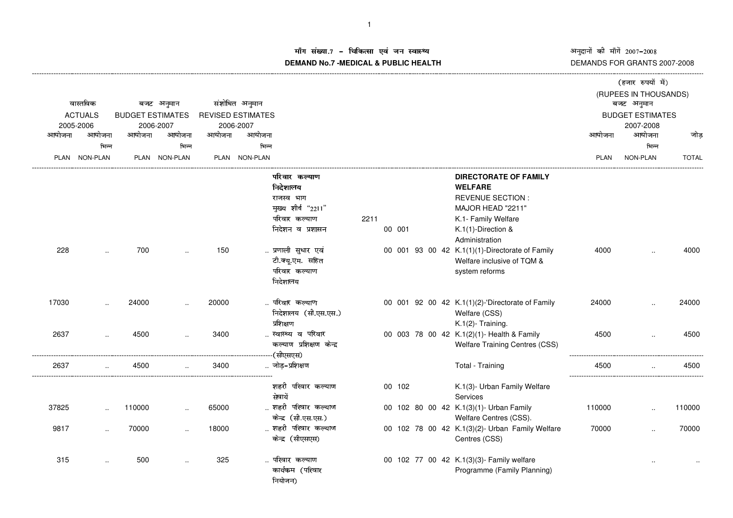अनुदानों की माँगें 2007–2008<br>DEMANDS FOR GRANTS 2007-2008

## ाँग संख्या.7 – चिकित्सा एवं जन स्वास्थ्य<br>IAND N- 7 MEDIOAL 8 DUDLIO-UEALTIL **DEMAND No.7 -MEDICAL & PUBLIC HEALTH**

|        |                      |        |                         |        |                          |                          |      |        |  | (हजार रुपयों में) |                                                  |             |                         |              |
|--------|----------------------|--------|-------------------------|--------|--------------------------|--------------------------|------|--------|--|-------------------|--------------------------------------------------|-------------|-------------------------|--------------|
|        |                      |        |                         |        |                          |                          |      |        |  |                   |                                                  |             | (RUPEES IN THOUSANDS)   |              |
|        | वास्तविक             |        | बजट अनुमान              |        | संशोधित अनुमान           |                          |      |        |  |                   |                                                  |             | बजट अनुमान              |              |
|        | <b>ACTUALS</b>       |        | <b>BUDGET ESTIMATES</b> |        | <b>REVISED ESTIMATES</b> |                          |      |        |  |                   |                                                  |             | <b>BUDGET ESTIMATES</b> |              |
|        | 2005-2006            |        | 2006-2007               |        | 2006-2007                |                          |      |        |  |                   |                                                  |             | 2007-2008               |              |
| आयोजना | आयोजना               | आयोजना | आयोजना                  | आयोजना | आयोजना                   |                          |      |        |  |                   |                                                  | आयोजना      | आयोजना                  | जोड          |
|        | भिन्न                |        | भिन्न                   |        | भिन्न                    |                          |      |        |  |                   |                                                  |             | भिन्न                   |              |
|        | PLAN NON-PLAN        |        | PLAN NON-PLAN           |        | PLAN NON-PLAN            |                          |      |        |  |                   |                                                  | <b>PLAN</b> | NON-PLAN                | <b>TOTAL</b> |
|        |                      |        |                         |        |                          | परिवार कल्याण            |      |        |  |                   | <b>DIRECTORATE OF FAMILY</b>                     |             |                         |              |
|        |                      |        |                         |        |                          | निदेशालय                 |      |        |  |                   | <b>WELFARE</b>                                   |             |                         |              |
|        |                      |        |                         |        |                          | राजस्व भाग               |      |        |  |                   | <b>REVENUE SECTION:</b>                          |             |                         |              |
|        |                      |        |                         |        |                          | मुख्य शीर्ष "2211"       |      |        |  |                   | MAJOR HEAD "2211"                                |             |                         |              |
|        |                      |        |                         |        |                          | परिवार कल्याण            | 2211 |        |  |                   | K.1- Family Welfare                              |             |                         |              |
|        |                      |        |                         |        |                          | निदेशन व प्रशासन         |      | 00 001 |  |                   | K.1(1)-Direction &                               |             |                         |              |
|        |                      |        |                         |        |                          |                          |      |        |  |                   | Administration                                   |             |                         |              |
| 228    |                      | 700    |                         | 150    |                          | प्रणाली सुधार एवं        |      |        |  |                   | 00 001 93 00 42 K.1(1)(1)-Directorate of Family  | 4000        |                         | 4000         |
|        |                      |        |                         |        |                          | टी.क्यू.एम. सहित         |      |        |  |                   | Welfare inclusive of TQM &                       |             |                         |              |
|        |                      |        |                         |        |                          | परिवार कल्याण            |      |        |  |                   | system reforms                                   |             |                         |              |
|        |                      |        |                         |        |                          | निदेशालय                 |      |        |  |                   |                                                  |             |                         |              |
| 17030  |                      | 24000  |                         | 20000  |                          | परिवार कल्याण            |      |        |  |                   | 00 001 92 00 42 K.1(1)(2)-'Directorate of Family | 24000       |                         | 24000        |
|        |                      |        |                         |        |                          | निदेशालय (सी.एस.एस.)     |      |        |  |                   | Welfare (CSS)                                    |             |                         |              |
|        |                      |        |                         |        |                          | प्रशिक्षण                |      |        |  |                   | K.1(2)- Training.                                |             |                         |              |
| 2637   |                      | 4500   |                         | 3400   |                          | स्वास्थ्य व परिवार       |      |        |  |                   | 00 003 78 00 42 K.1(2)(1)- Health & Family       | 4500        |                         | 4500         |
|        |                      |        |                         |        |                          | कल्याण प्रशिक्षण केन्द्र |      |        |  |                   | <b>Welfare Training Centres (CSS)</b>            |             |                         |              |
|        |                      |        |                         |        |                          | (सीएसएस)                 |      |        |  |                   |                                                  |             |                         |              |
| 2637   |                      | 4500   |                         | 3400   |                          | जोड़–प्रशिक्षण           |      |        |  |                   | Total - Training                                 | 4500        |                         | 4500         |
|        |                      |        |                         |        |                          | शहरी परिवार कल्याण       |      | 00 102 |  |                   | K.1(3)- Urban Family Welfare                     |             |                         |              |
|        |                      |        |                         |        |                          | सेवायें                  |      |        |  |                   | Services                                         |             |                         |              |
| 37825  |                      | 110000 | $\ddot{\phantom{a}}$    | 65000  |                          | शहरी परिवार कल्याण       |      |        |  |                   | 00 102 80 00 42 K.1(3)(1)- Urban Family          | 110000      |                         | 110000       |
|        |                      |        |                         |        |                          | केन्द्र (सी.एस.एस.)      |      |        |  |                   | Welfare Centres (CSS).                           |             |                         |              |
| 9817   | $\ddot{\phantom{a}}$ | 70000  |                         | 18000  |                          | शहरी परिवार कल्याण       |      |        |  |                   | 00 102 78 00 42 K.1(3)(2)- Urban Family Welfare  | 70000       |                         | 70000        |
|        |                      |        |                         |        |                          | केन्द्र (सीएसएस)         |      |        |  |                   | Centres (CSS)                                    |             |                         |              |
| 315    | $\cdot$              | 500    |                         | 325    |                          | परिवार कल्याण            |      |        |  |                   | 00 102 77 00 42 K.1(3)(3)- Family welfare        |             |                         |              |
|        |                      |        |                         |        |                          | कार्यकम (परिवार          |      |        |  |                   | Programme (Family Planning)                      |             |                         |              |
|        |                      |        |                         |        |                          | नियोजन)                  |      |        |  |                   |                                                  |             |                         |              |

----------------------------------------------------------------------------------------------------------------------------------------------------------------------------------------------------------------------------------------------------------------------------------------------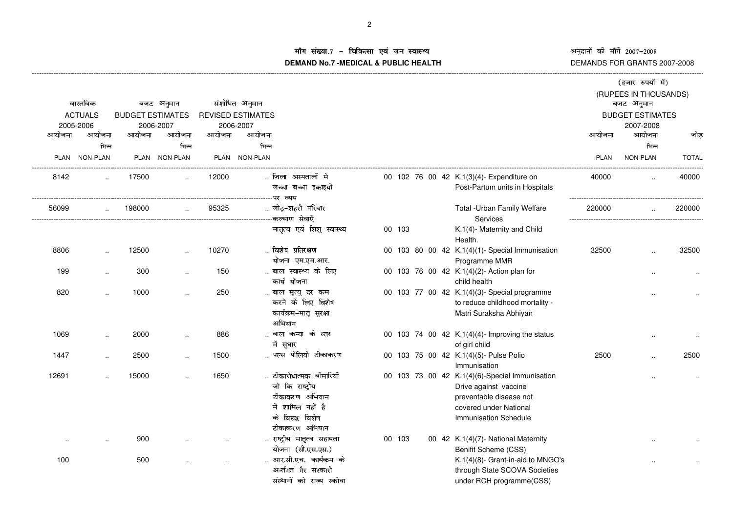ī अनुदाना का माग 2007–2008<br>DEMANDS FOR GRANTS 2007-2008 fं की माँगें 2007–200

## iंग संख्या.7 – चिकित्सा एवं जन स्वास्थ्य<br>IAND N- 7 MEDIOAL 8 DUDLIO-UEALTIL **DEMAND No.7 -MEDICAL & PUBLIC HEALTH**

----------------------------------------------------------------------------------------------------------------------------------------------------------------------------------------------------------------------------------------------------------------------------------------------

|                                           |                        |        |                             |        |                |                                                                                                                         |        |  |                                                                                                                                                       |        | (हजार रुपयों में)<br>(RUPEES IN THOUSANDS) |              |
|-------------------------------------------|------------------------|--------|-----------------------------|--------|----------------|-------------------------------------------------------------------------------------------------------------------------|--------|--|-------------------------------------------------------------------------------------------------------------------------------------------------------|--------|--------------------------------------------|--------------|
|                                           | वास्तविक<br>बजट अनुमान |        |                             |        | संशोधित अनुमान |                                                                                                                         |        |  |                                                                                                                                                       |        | बजट अनुमान                                 |              |
| <b>ACTUALS</b><br><b>BUDGET ESTIMATES</b> |                        |        | <b>REVISED ESTIMATES</b>    |        |                |                                                                                                                         |        |  | <b>BUDGET ESTIMATES</b>                                                                                                                               |        |                                            |              |
|                                           | 2005-2006              |        | 2006-2007                   |        | 2006-2007      |                                                                                                                         |        |  |                                                                                                                                                       |        | 2007-2008                                  |              |
| आयोजना                                    | आयोजना                 | आयोजना | आयोजना                      | आयोजना | आयोजना         |                                                                                                                         |        |  |                                                                                                                                                       | आयोजना | आयोजना                                     | जोड          |
|                                           | भिन्न                  |        | भिन्न                       |        | भिन्न          |                                                                                                                         |        |  |                                                                                                                                                       |        | भिन्न                                      |              |
|                                           | PLAN NON-PLAN          |        | PLAN NON-PLAN               |        | PLAN NON-PLAN  |                                                                                                                         |        |  |                                                                                                                                                       | PLAN   | NON-PLAN                                   | <b>TOTAL</b> |
| 8142                                      |                        | 17500  |                             | 12000  |                | जिला अस्पतालों मे                                                                                                       |        |  | 00 102 76 00 42 K.1(3)(4)- Expenditure on                                                                                                             | 40000  |                                            | 40000        |
|                                           |                        |        |                             |        |                | जच्चा बच्चा इकाइयों                                                                                                     |        |  | Post-Partum units in Hospitals                                                                                                                        |        |                                            |              |
|                                           |                        |        |                             |        |                | -पर व्यय                                                                                                                |        |  |                                                                                                                                                       |        |                                            |              |
| 56099                                     | $\ddotsc$              | 198000 | $\mathcal{L}_{\mathcal{A}}$ | 95325  |                | जोड़-शहरी परिवार<br>--कल्याण सेवाएँ                                                                                     |        |  | Total - Urban Family Welfare<br>Services                                                                                                              | 220000 |                                            | 220000       |
|                                           |                        |        |                             |        |                | मातृत्व एवं शिशु स्वास्थ्य                                                                                              | 00 103 |  | K.1(4)- Maternity and Child<br>Health.                                                                                                                |        |                                            |              |
| 8806                                      |                        | 12500  |                             | 10270  |                | विशेष प्रतिरक्षण<br>योजना एम.एम.आर.                                                                                     |        |  | 00 103 80 00 42 K.1(4)(1)- Special Immunisation<br>Programme MMR                                                                                      | 32500  |                                            | 32500        |
| 199                                       |                        | 300    |                             | 150    |                | बाल स्वास्थ्य के लिए<br>कार्य योजना                                                                                     |        |  | 00 103 76 00 42 K.1(4)(2)- Action plan for<br>child health                                                                                            |        |                                            |              |
| 820                                       |                        | 1000   |                             | 250    |                | बाल मृत्यु दर कम<br>करने के लिए विशेष<br>कार्यक्रम–मातृ सुरक्षा<br>अभियान                                               |        |  | 00 103 77 00 42 K.1(4)(3)- Special programme<br>to reduce childhood mortality -<br>Matri Suraksha Abhiyan                                             |        |                                            |              |
| 1069                                      | $\ddot{\phantom{a}}$   | 2000   |                             | 886    |                | बाल कन्या के स्तर<br>में सुधार                                                                                          |        |  | 00 103 74 00 42 K.1(4)(4)- Improving the status<br>of girl child                                                                                      |        |                                            |              |
| 1447                                      | $\ddot{\phantom{a}}$   | 2500   | $\cdot$ .                   | 1500   |                | पल्स पोलियो टीकाकरण                                                                                                     |        |  | 00 103 75 00 42 K.1(4)(5)- Pulse Polio<br>Immunisation                                                                                                | 2500   |                                            | 2500         |
| 12691                                     |                        | 15000  |                             | 1650   |                | टीकारोधात्मक बीमारियॉॅं<br>जो कि राष्ट्रीय<br>टीकाकरण अभियान<br>में शामिल नहीं है<br>के विरूद्व विशेष<br>टीकाकरण अभियान |        |  | 00 103 73 00 42 K.1(4)(6)-Special Immunisation<br>Drive against vaccine<br>preventable disease not<br>covered under National<br>Immunisation Schedule |        |                                            |              |
| $\ldots$                                  |                        | 900    |                             |        |                | राष्ट्रीय मातृत्व सहायता<br>योजना (सी.एस.एस.)                                                                           | 00 103 |  | 00 42 K.1(4)(7)- National Maternity<br>Benifit Scheme (CSS)                                                                                           |        |                                            |              |
| 100                                       |                        | 500    |                             |        |                | आर.सी.एच. कार्यकम के<br>अर्न्तगत गैर सरकारी<br>संस्थानों को राज्य स्कोवा                                                |        |  | K.1(4)(8)- Grant-in-aid to MNGO's<br>through State SCOVA Societies<br>under RCH programme(CSS)                                                        |        |                                            |              |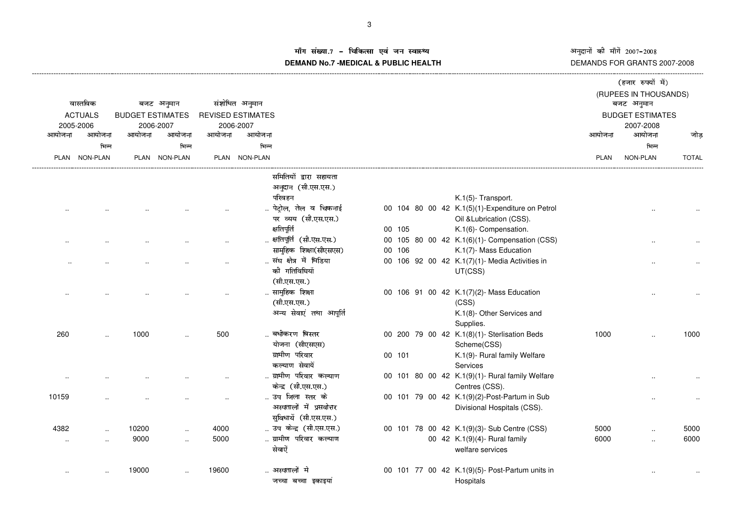iग संख्या.7 – चिकित्सा एवं जन स्वास्थ्य<br>IAND N- 7 MEDIOAL 8 DUDLIOUEALTIL **DEMAND No.7 -MEDICAL & PUBLIC HEALTH**

----------------------------------------------------------------------------------------------------------------------------------------------------------------------------------------------------------------------------------------------------------------------------------------------

अनुदानों की माँगें 2007–2008<br>DEMANDS FOR GRANTS 2007-2008  $\vec{\mathfrak{n}}$  2007–200

|           |                                           |        |                          |                          |                |                          |        |  |                                                 |             | (हजार रुपयों में)     |              |  |
|-----------|-------------------------------------------|--------|--------------------------|--------------------------|----------------|--------------------------|--------|--|-------------------------------------------------|-------------|-----------------------|--------------|--|
|           |                                           |        |                          |                          |                |                          |        |  |                                                 |             | (RUPEES IN THOUSANDS) |              |  |
|           | वास्तविक                                  |        | बजट अनुमान               |                          | संशोधित अनुमान |                          |        |  |                                                 |             | बजट अनुमान            |              |  |
|           | <b>ACTUALS</b><br><b>BUDGET ESTIMATES</b> |        |                          | <b>REVISED ESTIMATES</b> |                |                          |        |  | <b>BUDGET ESTIMATES</b>                         |             |                       |              |  |
|           | 2005-2006                                 |        | 2006-2007                |                          | 2006-2007      |                          |        |  |                                                 |             | 2007-2008             |              |  |
| आयोजना    | आयोजना                                    | आयोजना | आयोजना                   | आयोजना                   | आयोजना         |                          |        |  |                                                 | आयोजना      | आयोजना                | जोड          |  |
|           | भिन्न                                     |        | भिन्न                    |                          | भिन्न          |                          |        |  |                                                 |             | भिन्न                 |              |  |
| PLAN      | <b>NON-PLAN</b>                           |        | PLAN NON-PLAN            |                          | PLAN NON-PLAN  |                          |        |  |                                                 | <b>PLAN</b> | NON-PLAN              | <b>TOTAL</b> |  |
|           |                                           |        |                          |                          |                | समितियों द्वारा सहायता   |        |  |                                                 |             |                       |              |  |
|           |                                           |        |                          |                          |                | अनुदान (सी.एस.एस.)       |        |  |                                                 |             |                       |              |  |
|           |                                           |        |                          |                          |                | परिवहन                   |        |  | K.1(5)- Transport.                              |             |                       |              |  |
|           |                                           |        |                          |                          |                | पेट्रोल, तेल व चिकनाई    |        |  | 00 104 80 00 42 K.1(5)(1)-Expenditure on Petrol |             |                       |              |  |
|           |                                           |        |                          |                          |                | पर व्यय (सी.एस.एस.)      |        |  | Oil & Lubrication (CSS).                        |             |                       |              |  |
|           |                                           |        |                          |                          |                | क्षतिपूर्ति              | 00 105 |  | K.1(6)- Compensation.                           |             |                       |              |  |
|           |                                           |        |                          |                          |                | क्षतिपूर्ति (सी.एस.एस.)  |        |  | 00 105 80 00 42 K.1(6)(1)- Compensation (CSS)   |             |                       |              |  |
|           |                                           |        |                          |                          |                | सामुहिक शिक्षा(सीएसएस)   | 00 106 |  | K.1(7)- Mass Education                          |             |                       |              |  |
|           |                                           |        |                          |                          |                | संघ क्षेत्र में मिडिया   |        |  | 00 106 92 00 42 K.1(7)(1)- Media Activities in  |             |                       |              |  |
|           |                                           |        |                          |                          |                | की गतिविधियॉ             |        |  | UT(CSS)                                         |             |                       |              |  |
|           |                                           |        |                          |                          |                | (सी.एस.एस.)              |        |  |                                                 |             |                       |              |  |
|           |                                           |        |                          |                          |                | सामुहिक शिक्षा           |        |  | 00 106 91 00 42 K.1(7)(2)- Mass Education       |             |                       |              |  |
|           |                                           |        |                          |                          |                | (सी.एस.एस.)              |        |  | (CSS)                                           |             |                       |              |  |
|           |                                           |        |                          |                          |                | अन्य सेवाएं तथा आपूर्ति  |        |  | K.1(8)- Other Services and                      |             |                       |              |  |
|           |                                           |        |                          |                          |                |                          |        |  | Supplies.                                       |             |                       |              |  |
| 260       |                                           | 1000   |                          | 500                      |                | बधीकरण बिस्तर            |        |  | 00 200 79 00 42 K.1(8)(1)- Sterlisation Beds    | 1000        |                       | 1000         |  |
|           |                                           |        |                          |                          |                | योजना (सीएसएस)           |        |  | Scheme(CSS)                                     |             |                       |              |  |
|           |                                           |        |                          |                          |                | ग्रामीण परिवार           | 00 101 |  | K.1(9)- Rural family Welfare                    |             |                       |              |  |
|           |                                           |        |                          |                          |                | कल्याण सेवायें           |        |  | Services                                        |             |                       |              |  |
|           |                                           |        |                          |                          |                | ग्रामीण परिवार कल्याण    |        |  | 00 101 80 00 42 K.1(9)(1)- Rural family Welfare |             |                       |              |  |
|           |                                           |        |                          |                          |                | केन्द्र (सी.एस.एस.)      |        |  | Centres (CSS).                                  |             |                       |              |  |
| 10159     |                                           |        |                          |                          |                | उप जिला स्तर के          |        |  | 00 101 79 00 42 K.1(9)(2)-Post-Partum in Sub    |             |                       |              |  |
|           |                                           |        |                          |                          |                | अस्पतालों में प्रसवोत्तर |        |  | Divisional Hospitals (CSS).                     |             |                       |              |  |
|           |                                           |        |                          |                          |                | सुविधायें (सी.एस.एस.)    |        |  |                                                 |             |                       |              |  |
| 4382      | $\cdot$                                   | 10200  | $\overline{\phantom{a}}$ | 4000                     |                | उप केन्द्र (सी.एस.एस.)   |        |  | 00 101 78 00 42 K.1(9)(3)- Sub Centre (CSS)     | 5000        | $\ddotsc$             | 5000         |  |
| $\ddotsc$ |                                           | 9000   | $\ddotsc$                | 5000                     |                | ग्रामीण परिवार कल्याण    |        |  | 00 42 K.1(9)(4)- Rural family                   | 6000        | $\ddotsc$             | 6000         |  |
|           |                                           |        |                          |                          |                | सेवाऐँ                   |        |  | welfare services                                |             |                       |              |  |
|           |                                           | 19000  |                          | 19600                    |                | अस्पतालों मे             |        |  | 00 101 77 00 42 K.1(9)(5)- Post-Partum units in |             |                       |              |  |
|           |                                           |        |                          |                          |                | जच्चा बच्चा इकाइयां      |        |  | Hospitals                                       |             |                       |              |  |
|           |                                           |        |                          |                          |                |                          |        |  |                                                 |             |                       |              |  |